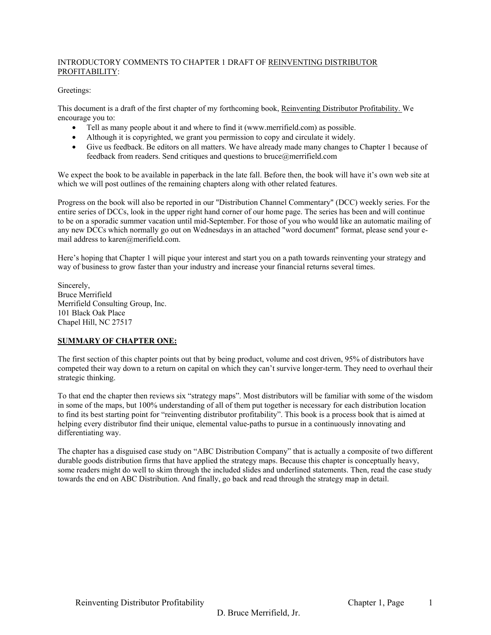#### INTRODUCTORY COMMENTS TO CHAPTER 1 DRAFT OF REINVENTING DISTRIBUTOR PROFITABILITY:

#### Greetings:

This document is a draft of the first chapter of my forthcoming book, Reinventing Distributor Profitability. We encourage you to:

- Tell as many people about it and where to find it (www.merrifield.com) as possible.
- Although it is copyrighted, we grant you permission to copy and circulate it widely.
- Give us feedback. Be editors on all matters. We have already made many changes to Chapter 1 because of feedback from readers. Send critiques and questions to bruce@merrifield.com

We expect the book to be available in paperback in the late fall. Before then, the book will have it's own web site at which we will post outlines of the remaining chapters along with other related features.

Progress on the book will also be reported in our "Distribution Channel Commentary" (DCC) weekly series. For the entire series of DCCs, look in the upper right hand corner of our home page. The series has been and will continue to be on a sporadic summer vacation until mid-September. For those of you who would like an automatic mailing of any new DCCs which normally go out on Wednesdays in an attached "word document" format, please send your email address to karen@merifield.com.

Here's hoping that Chapter 1 will pique your interest and start you on a path towards reinventing your strategy and way of business to grow faster than your industry and increase your financial returns several times.

Sincerely, Bruce Merrifield Merrifield Consulting Group, Inc. 101 Black Oak Place Chapel Hill, NC 27517

#### **SUMMARY OF CHAPTER ONE:**

The first section of this chapter points out that by being product, volume and cost driven, 95% of distributors have competed their way down to a return on capital on which they can't survive longer-term. They need to overhaul their strategic thinking.

To that end the chapter then reviews six "strategy maps". Most distributors will be familiar with some of the wisdom in some of the maps, but 100% understanding of all of them put together is necessary for each distribution location to find its best starting point for "reinventing distributor profitability". This book is a process book that is aimed at helping every distributor find their unique, elemental value-paths to pursue in a continuously innovating and differentiating way.

The chapter has a disguised case study on "ABC Distribution Company" that is actually a composite of two different durable goods distribution firms that have applied the strategy maps. Because this chapter is conceptually heavy, some readers might do well to skim through the included slides and underlined statements. Then, read the case study towards the end on ABC Distribution. And finally, go back and read through the strategy map in detail.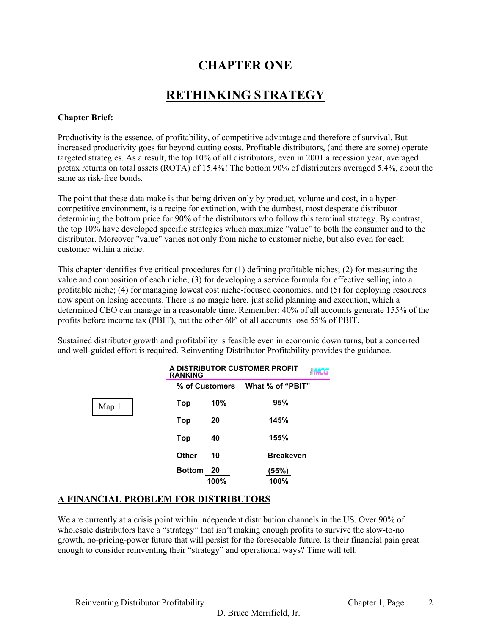# **CHAPTER ONE**

# **RETHINKING STRATEGY**

# **Chapter Brief:**

Productivity is the essence, of profitability, of competitive advantage and therefore of survival. But increased productivity goes far beyond cutting costs. Profitable distributors, (and there are some) operate targeted strategies. As a result, the top 10% of all distributors, even in 2001 a recession year, averaged pretax returns on total assets (ROTA) of 15.4%! The bottom 90% of distributors averaged 5.4%, about the same as risk-free bonds.

The point that these data make is that being driven only by product, volume and cost, in a hypercompetitive environment, is a recipe for extinction, with the dumbest, most desperate distributor determining the bottom price for 90% of the distributors who follow this terminal strategy. By contrast, the top 10% have developed specific strategies which maximize "value" to both the consumer and to the distributor. Moreover "value" varies not only from niche to customer niche, but also even for each customer within a niche.

This chapter identifies five critical procedures for (1) defining profitable niches; (2) for measuring the value and composition of each niche; (3) for developing a service formula for effective selling into a profitable niche; (4) for managing lowest cost niche-focused economics; and (5) for deploying resources now spent on losing accounts. There is no magic here, just solid planning and execution, which a determined CEO can manage in a reasonable time. Remember: 40% of all accounts generate 155% of the profits before income tax (PBIT), but the other  $60^{\circ}$  of all accounts lose 55% of PBIT.

Sustained distributor growth and profitability is feasible even in economic down turns, but a concerted and well-guided effort is required. Reinventing Distributor Profitability provides the guidance.

|       | A DISTRIBUTOR CUSTOMER PROFIT<br><b>RANKING</b> |                |                  |  |
|-------|-------------------------------------------------|----------------|------------------|--|
|       |                                                 | % of Customers | What % of "PBIT" |  |
| Map 1 | Top                                             | 10%            | 95%              |  |
|       | Top                                             | 20             | 145%             |  |
|       | Top                                             | 40             | 155%             |  |
|       | Other                                           | 10             | <b>Breakeven</b> |  |
|       | <b>Bottom</b>                                   | 20             | (55%)            |  |
|       |                                                 | 100%           | 100%             |  |

# **A FINANCIAL PROBLEM FOR DISTRIBUTORS**

We are currently at a crisis point within independent distribution channels in the US. Over 90% of wholesale distributors have a "strategy" that isn't making enough profits to survive the slow-to-no growth, no-pricing-power future that will persist for the foreseeable future. Is their financial pain great enough to consider reinventing their "strategy" and operational ways? Time will tell.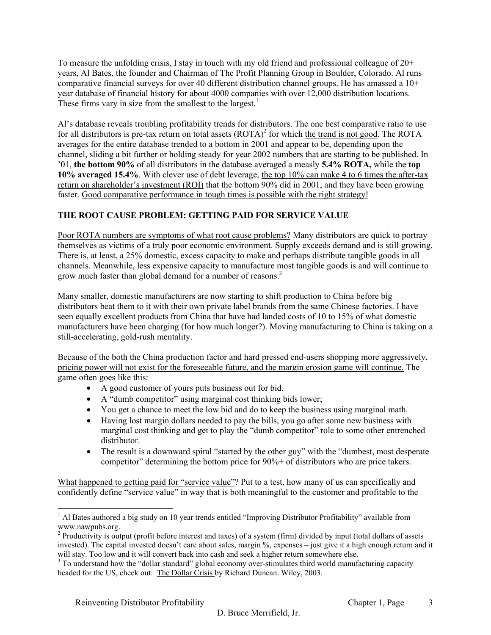To measure the unfolding crisis, I stay in touch with my old friend and professional colleague of 20+ years, Al Bates, the founder and Chairman of The Profit Planning Group in Boulder, Colorado. Al runs comparative financial surveys for over 40 different distribution channel groups. He has amassed a 10+ year database of financial history for about 4000 companies with over 12,000 distribution locations. These firms vary in size from the smallest to the largest.<sup>1</sup>

Al's database reveals troubling profitability trends for distributors. The one best comparative ratio to use for all distributors is pre-tax return on total assets  $(ROTA)^2$  for which the trend is not good. The ROTA averages for the entire database trended to a bottom in 2001 and appear to be, depending upon the channel, sliding a bit further or holding steady for year 2002 numbers that are starting to be published. In '01, **the bottom 90%** of all distributors in the database averaged a measly **5.4% ROTA,** while the **top 10% averaged 15.4%**. With clever use of debt leverage, the top 10% can make 4 to 6 times the after-tax return on shareholder's investment (ROI) that the bottom 90% did in 2001, and they have been growing faster. Good comparative performance in tough times is possible with the right strategy!

# **THE ROOT CAUSE PROBLEM: GETTING PAID FOR SERVICE VALUE**

Poor ROTA numbers are symptoms of what root cause problems? Many distributors are quick to portray themselves as victims of a truly poor economic environment. Supply exceeds demand and is still growing. There is, at least, a 25% domestic, excess capacity to make and perhaps distribute tangible goods in all channels. Meanwhile, less expensive capacity to manufacture most tangible goods is and will continue to grow much faster than global demand for a number of reasons.<sup>3</sup>

Many smaller, domestic manufacturers are now starting to shift production to China before big distributors beat them to it with their own private label brands from the same Chinese factories. I have seen equally excellent products from China that have had landed costs of 10 to 15% of what domestic manufacturers have been charging (for how much longer?). Moving manufacturing to China is taking on a still-accelerating, gold-rush mentality.

Because of the both the China production factor and hard pressed end-users shopping more aggressively, pricing power will not exist for the foreseeable future, and the margin erosion game will continue. The game often goes like this:

- A good customer of yours puts business out for bid.
- A "dumb competitor" using marginal cost thinking bids lower;
- You get a chance to meet the low bid and do to keep the business using marginal math.
- Having lost margin dollars needed to pay the bills, you go after some new business with marginal cost thinking and get to play the "dumb competitor" role to some other entrenched distributor.
- The result is a downward spiral "started by the other guy" with the "dumbest, most desperate" competitor" determining the bottom price for 90%+ of distributors who are price takers.

What happened to getting paid for "service value"? Put to a test, how many of us can specifically and confidently define "service value" in way that is both meaningful to the customer and profitable to the

<sup>&</sup>lt;sup>1</sup> Al Bates authored a big study on 10 year trends entitled "Improving Distributor Profitability" available from www.nawpubs.org.

<sup>&</sup>lt;sup>2</sup> Productivity is output (profit before interest and taxes) of a system (firm) divided by input (total dollars of assets invested). The capital invested doesn't care about sales, margin %, expenses – just give it a high enough return and it will stay. Too low and it will convert back into cash and seek a higher return somewhere else.

<sup>&</sup>lt;sup>3</sup> To understand how the "dollar standard" global economy over-stimulates third world manufacturing capacity headed for the US, check out: The Dollar Crisis by Richard Duncan. Wiley, 2003.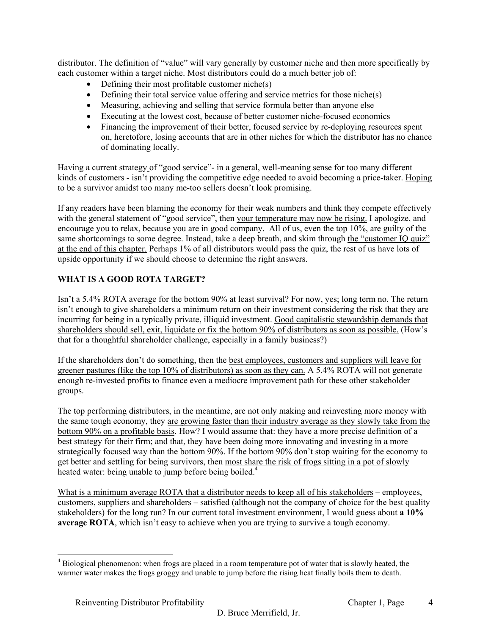distributor. The definition of "value" will vary generally by customer niche and then more specifically by each customer within a target niche. Most distributors could do a much better job of:

- Defining their most profitable customer niche(s)
- Defining their total service value offering and service metrics for those niche(s)
- Measuring, achieving and selling that service formula better than anyone else
- Executing at the lowest cost, because of better customer niche-focused economics
- Financing the improvement of their better, focused service by re-deploying resources spent on, heretofore, losing accounts that are in other niches for which the distributor has no chance of dominating locally.

Having a current strategy of "good service"- in a general, well-meaning sense for too many different kinds of customers - isn't providing the competitive edge needed to avoid becoming a price-taker. Hoping to be a survivor amidst too many me-too sellers doesn't look promising.

If any readers have been blaming the economy for their weak numbers and think they compete effectively with the general statement of "good service", then your temperature may now be rising. I apologize, and encourage you to relax, because you are in good company. All of us, even the top 10%, are guilty of the same shortcomings to some degree. Instead, take a deep breath, and skim through the "customer IQ quiz" at the end of this chapter. Perhaps 1% of all distributors would pass the quiz, the rest of us have lots of upside opportunity if we should choose to determine the right answers.

# **WHAT IS A GOOD ROTA TARGET?**

Isn't a 5.4% ROTA average for the bottom 90% at least survival? For now, yes; long term no. The return isn't enough to give shareholders a minimum return on their investment considering the risk that they are incurring for being in a typically private, illiquid investment. Good capitalistic stewardship demands that shareholders should sell, exit, liquidate or fix the bottom 90% of distributors as soon as possible. (How's that for a thoughtful shareholder challenge, especially in a family business?)

If the shareholders don't do something, then the best employees, customers and suppliers will leave for greener pastures (like the top 10% of distributors) as soon as they can. A 5.4% ROTA will not generate enough re-invested profits to finance even a mediocre improvement path for these other stakeholder groups.

The top performing distributors, in the meantime, are not only making and reinvesting more money with the same tough economy, they are growing faster than their industry average as they slowly take from the bottom 90% on a profitable basis. How? I would assume that: they have a more precise definition of a best strategy for their firm; and that, they have been doing more innovating and investing in a more strategically focused way than the bottom 90%. If the bottom 90% don't stop waiting for the economy to get better and settling for being survivors, then most share the risk of frogs sitting in a pot of slowly heated water: being unable to jump before being boiled.<sup>4</sup>

What is a minimum average ROTA that a distributor needs to keep all of his stakeholders – employees, customers, suppliers and shareholders – satisfied (although not the company of choice for the best quality stakeholders) for the long run? In our current total investment environment, I would guess about **a 10% average ROTA**, which isn't easy to achieve when you are trying to survive a tough economy.

<sup>&</sup>lt;sup>4</sup> Biological phenomenon: when frogs are placed in a room temperature pot of water that is slowly heated, the warmer water makes the frogs groggy and unable to jump before the rising heat finally boils them to death.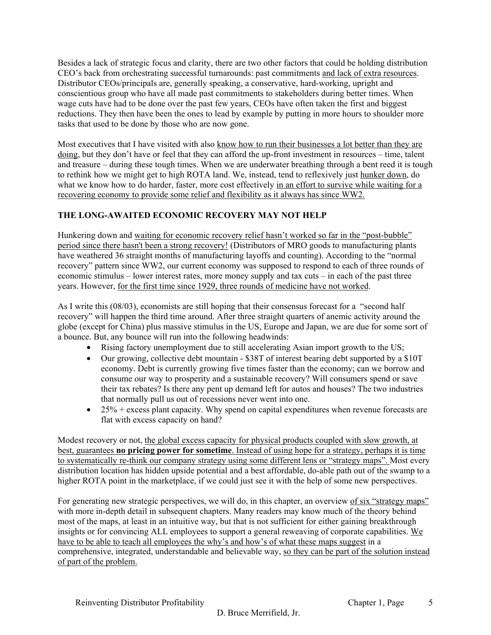Besides a lack of strategic focus and clarity, there are two other factors that could be holding distribution CEO's back from orchestrating successful turnarounds: past commitments and lack of extra resources. Distributor CEOs/principals are, generally speaking, a conservative, hard-working, upright and conscientious group who have all made past commitments to stakeholders during better times. When wage cuts have had to be done over the past few years, CEOs have often taken the first and biggest reductions. They then have been the ones to lead by example by putting in more hours to shoulder more tasks that used to be done by those who are now gone.

Most executives that I have visited with also know how to run their businesses a lot better than they are doing, but they don't have or feel that they can afford the up-front investment in resources – time, talent and treasure – during these tough times. When we are underwater breathing through a bent reed it is tough to rethink how we might get to high ROTA land. We, instead, tend to reflexively just hunker down, do what we know how to do harder, faster, more cost effectively in an effort to survive while waiting for a recovering economy to provide some relief and flexibility as it always has since WW2.

# **THE LONG-AWAITED ECONOMIC RECOVERY MAY NOT HELP**

Hunkering down and waiting for economic recovery relief hasn't worked so far in the "post-bubble" period since there hasn't been a strong recovery! (Distributors of MRO goods to manufacturing plants have weathered 36 straight months of manufacturing layoffs and counting). According to the "normal recovery" pattern since WW2, our current economy was supposed to respond to each of three rounds of economic stimulus – lower interest rates, more money supply and tax cuts – in each of the past three years. However, for the first time since 1929, three rounds of medicine have not worked.

As I write this (08/03), economists are still hoping that their consensus forecast for a "second half recovery" will happen the third time around. After three straight quarters of anemic activity around the globe (except for China) plus massive stimulus in the US, Europe and Japan, we are due for some sort of a bounce. But, any bounce will run into the following headwinds:

- Rising factory unemployment due to still accelerating Asian import growth to the US;
- Our growing, collective debt mountain \$38T of interest bearing debt supported by a \$10T economy. Debt is currently growing five times faster than the economy; can we borrow and consume our way to prosperity and a sustainable recovery? Will consumers spend or save their tax rebates? Is there any pent up demand left for autos and houses? The two industries that normally pull us out of recessions never went into one.
- $\bullet$  25% + excess plant capacity. Why spend on capital expenditures when revenue forecasts are flat with excess capacity on hand?

Modest recovery or not, the global excess capacity for physical products coupled with slow growth, at best, guarantees **no pricing power for sometime**. Instead of using hope for a strategy, perhaps it is time to systematically re-think our company strategy using some different lens or "strategy maps". Most every distribution location has hidden upside potential and a best affordable, do-able path out of the swamp to a higher ROTA point in the marketplace, if we could just see it with the help of some new perspectives.

For generating new strategic perspectives, we will do, in this chapter, an overview of six "strategy maps" with more in-depth detail in subsequent chapters. Many readers may know much of the theory behind most of the maps, at least in an intuitive way, but that is not sufficient for either gaining breakthrough insights or for convincing ALL employees to support a general reweaving of corporate capabilities. We have to be able to teach all employees the why's and how's of what these maps suggest in a comprehensive, integrated, understandable and believable way, so they can be part of the solution instead of part of the problem.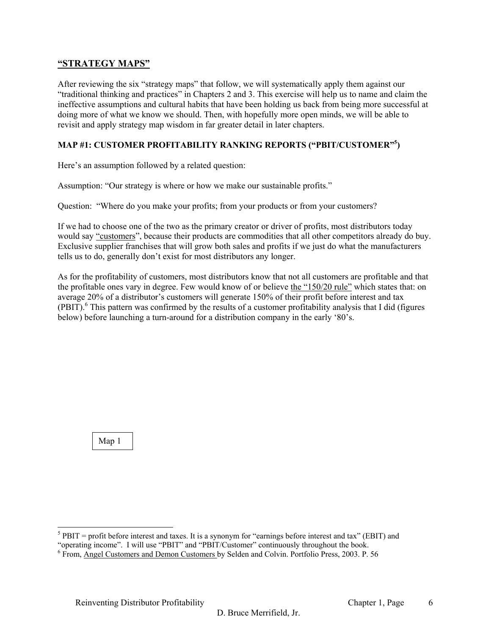# **"STRATEGY MAPS"**

After reviewing the six "strategy maps" that follow, we will systematically apply them against our "traditional thinking and practices" in Chapters 2 and 3. This exercise will help us to name and claim the ineffective assumptions and cultural habits that have been holding us back from being more successful at doing more of what we know we should. Then, with hopefully more open minds, we will be able to revisit and apply strategy map wisdom in far greater detail in later chapters.

# **MAP #1: CUSTOMER PROFITABILITY RANKING REPORTS ("PBIT/CUSTOMER"<sup>5</sup> )**

Here's an assumption followed by a related question:

Assumption: "Our strategy is where or how we make our sustainable profits."

Question: "Where do you make your profits; from your products or from your customers?

If we had to choose one of the two as the primary creator or driver of profits, most distributors today would say "customers", because their products are commodities that all other competitors already do buy. Exclusive supplier franchises that will grow both sales and profits if we just do what the manufacturers tells us to do, generally don't exist for most distributors any longer.

As for the profitability of customers, most distributors know that not all customers are profitable and that the profitable ones vary in degree. Few would know of or believe the "150/20 rule" which states that: on average 20% of a distributor's customers will generate 150% of their profit before interest and tax  $(PBIT)$ .<sup>6</sup> This pattern was confirmed by the results of a customer profitability analysis that I did (figures below) before launching a turn-around for a distribution company in the early '80's.

Map 1

 $<sup>5</sup>$  PBIT = profit before interest and taxes. It is a synonym for "earnings before interest and tax" (EBIT) and</sup>

<sup>&</sup>quot;operating income". I will use "PBIT" and "PBIT/Customer" continuously throughout the book. <sup>6</sup>

From, Angel Customers and Demon Customers by Selden and Colvin. Portfolio Press, 2003. P. 56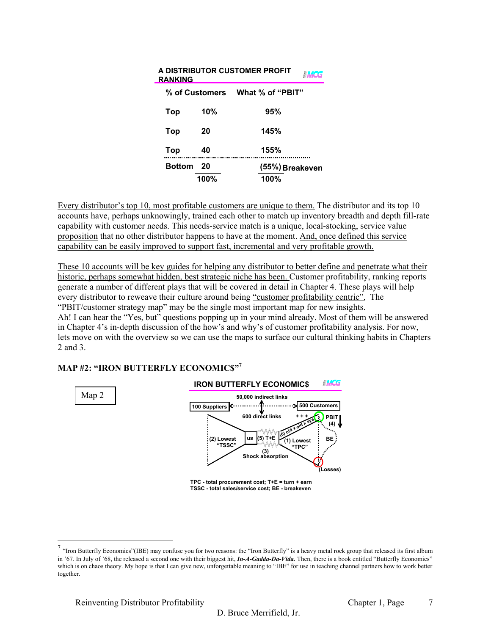| <b>RANKING</b> |                | A DISTRIBUTOR CUSTOMER PROFIT |
|----------------|----------------|-------------------------------|
|                | % of Customers | What % of "PBIT"              |
| Top            | 10%            | 95%                           |
| Top            | 20             | 145%                          |
| Top            | 40             | 155%                          |
| <b>Bottom</b>  | -20            | (55%) Breakeven               |
|                | 100%           | 100%                          |

Every distributor's top 10, most profitable customers are unique to them. The distributor and its top 10 accounts have, perhaps unknowingly, trained each other to match up inventory breadth and depth fill-rate capability with customer needs. This needs-service match is a unique, local-stocking, service value proposition that no other distributor happens to have at the moment. And, once defined this service capability can be easily improved to support fast, incremental and very profitable growth.

These 10 accounts will be key guides for helping any distributor to better define and penetrate what their historic, perhaps somewhat hidden, best strategic niche has been. Customer profitability, ranking reports generate a number of different plays that will be covered in detail in Chapter 4. These plays will help every distributor to reweave their culture around being "customer profitability centric". The "PBIT/customer strategy map" may be the single most important map for new insights. Ah! I can hear the "Yes, but" questions popping up in your mind already. Most of them will be answered in Chapter 4's in-depth discussion of the how's and why's of customer profitability analysis. For now, lets move on with the overview so we can use the maps to surface our cultural thinking habits in Chapters 2 and 3.

# **MAP #2: "IRON BUTTERFLY ECONOMIC\$"<sup>7</sup>**



**TPC - total procurement cost; T+E = turn + earn TSSC - total sales/service cost; BE - breakeven**

 $^7$  "Iron Butterfly Economics"(IBE) may confuse you for two reasons: the "Iron Butterfly" is a heavy metal rock group that released its first album in '67. In July of '68, the released a second one with their biggest hit, *In-A-Gadda-Da-Vida.* Then, there is a book entitled "Butterfly Economics" which is on chaos theory. My hope is that I can give new, unforgettable meaning to "IBE" for use in teaching channel partners how to work better together.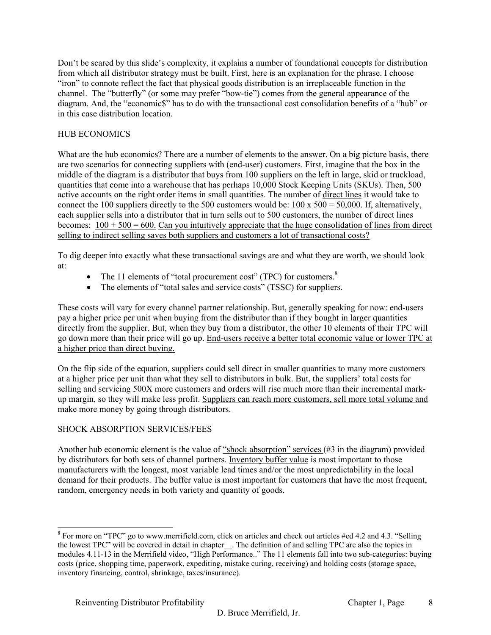Don't be scared by this slide's complexity, it explains a number of foundational concepts for distribution from which all distributor strategy must be built. First, here is an explanation for the phrase. I choose "iron" to connote reflect the fact that physical goods distribution is an irreplaceable function in the channel. The "butterfly" (or some may prefer "bow-tie") comes from the general appearance of the diagram. And, the "economic\$" has to do with the transactional cost consolidation benefits of a "hub" or in this case distribution location.

# HUB ECONOMICS

What are the hub economics? There are a number of elements to the answer. On a big picture basis, there are two scenarios for connecting suppliers with (end-user) customers. First, imagine that the box in the middle of the diagram is a distributor that buys from 100 suppliers on the left in large, skid or truckload, quantities that come into a warehouse that has perhaps 10,000 Stock Keeping Units (SKUs). Then, 500 active accounts on the right order items in small quantities. The number of direct lines it would take to connect the 100 suppliers directly to the 500 customers would be:  $100 \times 500 = 50,000$ . If, alternatively, each supplier sells into a distributor that in turn sells out to 500 customers, the number of direct lines becomes:  $100 + 500 = 600$ . Can you intuitively appreciate that the huge consolidation of lines from direct selling to indirect selling saves both suppliers and customers a lot of transactional costs?

To dig deeper into exactly what these transactional savings are and what they are worth, we should look at:

- The 11 elements of "total procurement cost" (TPC) for customers. $8$
- The elements of "total sales and service costs" (TSSC) for suppliers.

These costs will vary for every channel partner relationship. But, generally speaking for now: end-users pay a higher price per unit when buying from the distributor than if they bought in larger quantities directly from the supplier. But, when they buy from a distributor, the other 10 elements of their TPC will go down more than their price will go up. End-users receive a better total economic value or lower TPC at a higher price than direct buying.

On the flip side of the equation, suppliers could sell direct in smaller quantities to many more customers at a higher price per unit than what they sell to distributors in bulk. But, the suppliers' total costs for selling and servicing 500X more customers and orders will rise much more than their incremental markup margin, so they will make less profit. Suppliers can reach more customers, sell more total volume and make more money by going through distributors.

# SHOCK ABSORPTION SERVICES/FEES

l

Another hub economic element is the value of "shock absorption" services (#3 in the diagram) provided by distributors for both sets of channel partners. Inventory buffer value is most important to those manufacturers with the longest, most variable lead times and/or the most unpredictability in the local demand for their products. The buffer value is most important for customers that have the most frequent, random, emergency needs in both variety and quantity of goods.

 $8$  For more on "TPC" go to www.merrifield.com, click on articles and check out articles #ed 4.2 and 4.3. "Selling the lowest TPC" will be covered in detail in chapter\_\_. The definition of and selling TPC are also the topics in modules 4.11-13 in the Merrifield video, "High Performance.." The 11 elements fall into two sub-categories: buying costs (price, shopping time, paperwork, expediting, mistake curing, receiving) and holding costs (storage space, inventory financing, control, shrinkage, taxes/insurance).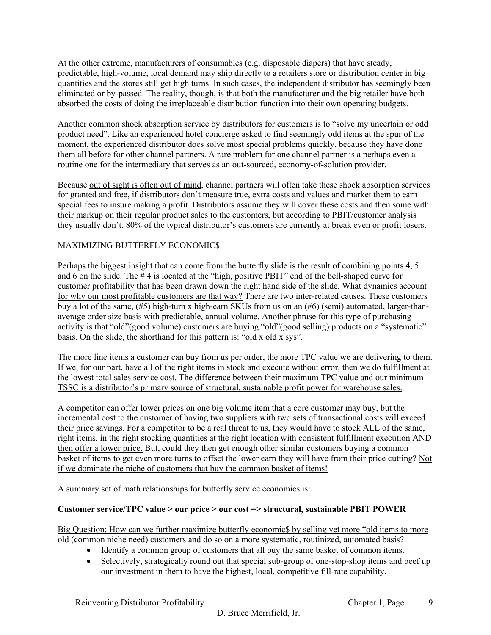At the other extreme, manufacturers of consumables (e.g. disposable diapers) that have steady, predictable, high-volume, local demand may ship directly to a retailers store or distribution center in big quantities and the stores still get high turns. In such cases, the independent distributor has seemingly been eliminated or by-passed. The reality, though, is that both the manufacturer and the big retailer have both absorbed the costs of doing the irreplaceable distribution function into their own operating budgets.

Another common shock absorption service by distributors for customers is to "solve my uncertain or odd product need". Like an experienced hotel concierge asked to find seemingly odd items at the spur of the moment, the experienced distributor does solve most special problems quickly, because they have done them all before for other channel partners. A rare problem for one channel partner is a perhaps even a routine one for the intermediary that serves as an out-sourced, economy-of-solution provider.

Because out of sight is often out of mind, channel partners will often take these shock absorption services for granted and free, if distributors don't measure true, extra costs and values and market them to earn special fees to insure making a profit. Distributors assume they will cover these costs and then some with their markup on their regular product sales to the customers, but according to PBIT/customer analysis they usually don't. 80% of the typical distributor's customers are currently at break even or profit losers.

# MAXIMIZING BUTTERFLY ECONOMIC\$

Perhaps the biggest insight that can come from the butterfly slide is the result of combining points 4, 5 and 6 on the slide. The # 4 is located at the "high, positive PBIT" end of the bell-shaped curve for customer profitability that has been drawn down the right hand side of the slide. What dynamics account for why our most profitable customers are that way? There are two inter-related causes. These customers buy a lot of the same, (#5) high-turn x high-earn SKUs from us on an (#6) (semi) automated, larger-thanaverage order size basis with predictable, annual volume. Another phrase for this type of purchasing activity is that "old"(good volume) customers are buying "old"(good selling) products on a "systematic" basis. On the slide, the shorthand for this pattern is: "old x old x sys".

The more line items a customer can buy from us per order, the more TPC value we are delivering to them. If we, for our part, have all of the right items in stock and execute without error, then we do fulfillment at the lowest total sales service cost. The difference between their maximum TPC value and our minimum TSSC is a distributor's primary source of structural, sustainable profit power for warehouse sales.

A competitor can offer lower prices on one big volume item that a core customer may buy, but the incremental cost to the customer of having two suppliers with two sets of transactional costs will exceed their price savings. For a competitor to be a real threat to us, they would have to stock ALL of the same, right items, in the right stocking quantities at the right location with consistent fulfillment execution AND then offer a lower price. But, could they then get enough other similar customers buying a common basket of items to get even more turns to offset the lower earn they will have from their price cutting? Not if we dominate the niche of customers that buy the common basket of items!

A summary set of math relationships for butterfly service economics is:

# **Customer service/TPC value > our price > our cost => structural, sustainable PBIT POWER**

Big Question: How can we further maximize butterfly economic\$ by selling yet more "old items to more old (common niche need) customers and do so on a more systematic, routinized, automated basis?

- Identify a common group of customers that all buy the same basket of common items.
- Selectively, strategically round out that special sub-group of one-stop-shop items and beef up our investment in them to have the highest, local, competitive fill-rate capability.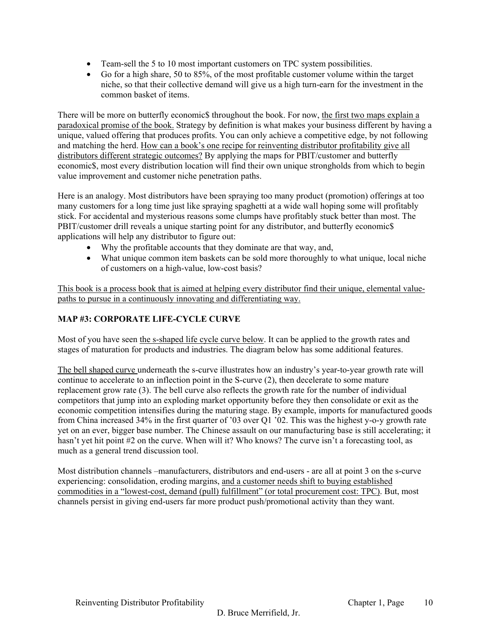- Team-sell the 5 to 10 most important customers on TPC system possibilities.
- Go for a high share, 50 to 85%, of the most profitable customer volume within the target niche, so that their collective demand will give us a high turn-earn for the investment in the common basket of items.

There will be more on butterfly economic\$ throughout the book. For now, the first two maps explain a paradoxical promise of the book. Strategy by definition is what makes your business different by having a unique, valued offering that produces profits. You can only achieve a competitive edge, by not following and matching the herd. How can a book's one recipe for reinventing distributor profitability give all distributors different strategic outcomes? By applying the maps for PBIT/customer and butterfly economic\$, most every distribution location will find their own unique strongholds from which to begin value improvement and customer niche penetration paths.

Here is an analogy. Most distributors have been spraying too many product (promotion) offerings at too many customers for a long time just like spraying spaghetti at a wide wall hoping some will profitably stick. For accidental and mysterious reasons some clumps have profitably stuck better than most. The PBIT/customer drill reveals a unique starting point for any distributor, and butterfly economic\$ applications will help any distributor to figure out:

- Why the profitable accounts that they dominate are that way, and,
- What unique common item baskets can be sold more thoroughly to what unique, local niche of customers on a high-value, low-cost basis?

This book is a process book that is aimed at helping every distributor find their unique, elemental valuepaths to pursue in a continuously innovating and differentiating way.

# **MAP #3: CORPORATE LIFE-CYCLE CURVE**

Most of you have seen the s-shaped life cycle curve below. It can be applied to the growth rates and stages of maturation for products and industries. The diagram below has some additional features.

The bell shaped curve underneath the s-curve illustrates how an industry's year-to-year growth rate will continue to accelerate to an inflection point in the S-curve (2), then decelerate to some mature replacement grow rate (3). The bell curve also reflects the growth rate for the number of individual competitors that jump into an exploding market opportunity before they then consolidate or exit as the economic competition intensifies during the maturing stage. By example, imports for manufactured goods from China increased 34% in the first quarter of '03 over Q1 '02. This was the highest y-o-y growth rate yet on an ever, bigger base number. The Chinese assault on our manufacturing base is still accelerating; it hasn't yet hit point #2 on the curve. When will it? Who knows? The curve isn't a forecasting tool, as much as a general trend discussion tool.

Most distribution channels –manufacturers, distributors and end-users - are all at point 3 on the s-curve experiencing: consolidation, eroding margins, and a customer needs shift to buying established commodities in a "lowest-cost, demand (pull) fulfillment" (or total procurement cost: TPC). But, most channels persist in giving end-users far more product push/promotional activity than they want.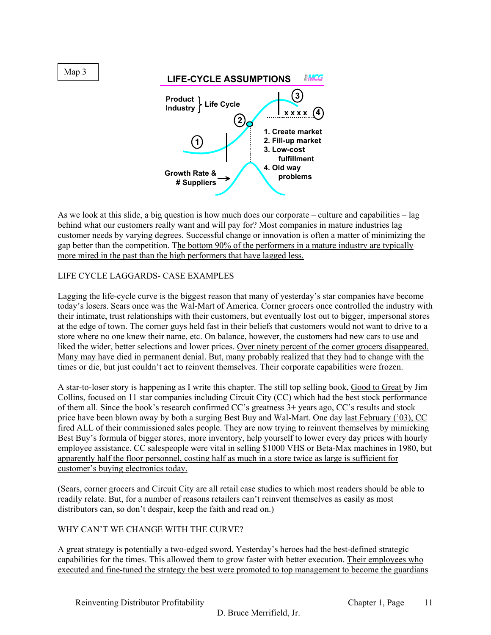

As we look at this slide, a big question is how much does our corporate – culture and capabilities – lag behind what our customers really want and will pay for? Most companies in mature industries lag customer needs by varying degrees. Successful change or innovation is often a matter of minimizing the gap better than the competition. The bottom 90% of the performers in a mature industry are typically more mired in the past than the high performers that have lagged less.

# LIFE CYCLE LAGGARDS- CASE EXAMPLES

Lagging the life-cycle curve is the biggest reason that many of yesterday's star companies have become today's losers. Sears once was the Wal-Mart of America. Corner grocers once controlled the industry with their intimate, trust relationships with their customers, but eventually lost out to bigger, impersonal stores at the edge of town. The corner guys held fast in their beliefs that customers would not want to drive to a store where no one knew their name, etc. On balance, however, the customers had new cars to use and liked the wider, better selections and lower prices. Over ninety percent of the corner grocers disappeared. Many may have died in permanent denial. But, many probably realized that they had to change with the times or die, but just couldn't act to reinvent themselves. Their corporate capabilities were frozen.

A star-to-loser story is happening as I write this chapter. The still top selling book, Good to Great by Jim Collins, focused on 11 star companies including Circuit City (CC) which had the best stock performance of them all. Since the book's research confirmed CC's greatness 3+ years ago, CC's results and stock price have been blown away by both a surging Best Buy and Wal-Mart. One day last February ('03), CC fired ALL of their commissioned sales people. They are now trying to reinvent themselves by mimicking Best Buy's formula of bigger stores, more inventory, help yourself to lower every day prices with hourly employee assistance. CC salespeople were vital in selling \$1000 VHS or Beta-Max machines in 1980, but apparently half the floor personnel, costing half as much in a store twice as large is sufficient for customer's buying electronics today.

(Sears, corner grocers and Circuit City are all retail case studies to which most readers should be able to readily relate. But, for a number of reasons retailers can't reinvent themselves as easily as most distributors can, so don't despair, keep the faith and read on.)

# WHY CAN'T WE CHANGE WITH THE CURVE?

A great strategy is potentially a two-edged sword. Yesterday's heroes had the best-defined strategic capabilities for the times. This allowed them to grow faster with better execution. Their employees who executed and fine-tuned the strategy the best were promoted to top management to become the guardians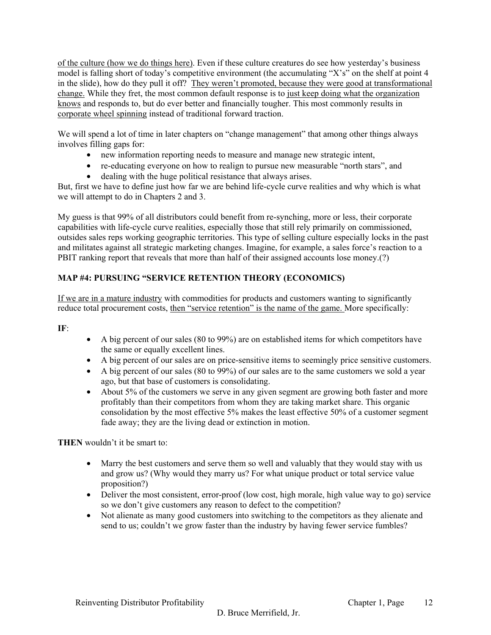of the culture (how we do things here). Even if these culture creatures do see how yesterday's business model is falling short of today's competitive environment (the accumulating "X's" on the shelf at point 4 in the slide), how do they pull it off? They weren't promoted, because they were good at transformational change. While they fret, the most common default response is to just keep doing what the organization knows and responds to, but do ever better and financially tougher. This most commonly results in corporate wheel spinning instead of traditional forward traction.

We will spend a lot of time in later chapters on "change management" that among other things always involves filling gaps for:

- new information reporting needs to measure and manage new strategic intent,
- re-educating everyone on how to realign to pursue new measurable "north stars", and
- dealing with the huge political resistance that always arises.

But, first we have to define just how far we are behind life-cycle curve realities and why which is what we will attempt to do in Chapters 2 and 3.

My guess is that 99% of all distributors could benefit from re-synching, more or less, their corporate capabilities with life-cycle curve realities, especially those that still rely primarily on commissioned, outsides sales reps working geographic territories. This type of selling culture especially locks in the past and militates against all strategic marketing changes. Imagine, for example, a sales force's reaction to a PBIT ranking report that reveals that more than half of their assigned accounts lose money.(?)

# **MAP #4: PURSUING "SERVICE RETENTION THEORY (ECONOMICS)**

If we are in a mature industry with commodities for products and customers wanting to significantly reduce total procurement costs, then "service retention" is the name of the game. More specifically:

**IF**:

- A big percent of our sales (80 to 99%) are on established items for which competitors have the same or equally excellent lines.
- A big percent of our sales are on price-sensitive items to seemingly price sensitive customers.
- A big percent of our sales (80 to 99%) of our sales are to the same customers we sold a year ago, but that base of customers is consolidating.
- About 5% of the customers we serve in any given segment are growing both faster and more profitably than their competitors from whom they are taking market share. This organic consolidation by the most effective 5% makes the least effective 50% of a customer segment fade away; they are the living dead or extinction in motion.

**THEN** wouldn't it be smart to:

- Marry the best customers and serve them so well and valuably that they would stay with us and grow us? (Why would they marry us? For what unique product or total service value proposition?)
- Deliver the most consistent, error-proof (low cost, high morale, high value way to go) service so we don't give customers any reason to defect to the competition?
- Not alienate as many good customers into switching to the competitors as they alienate and send to us; couldn't we grow faster than the industry by having fewer service fumbles?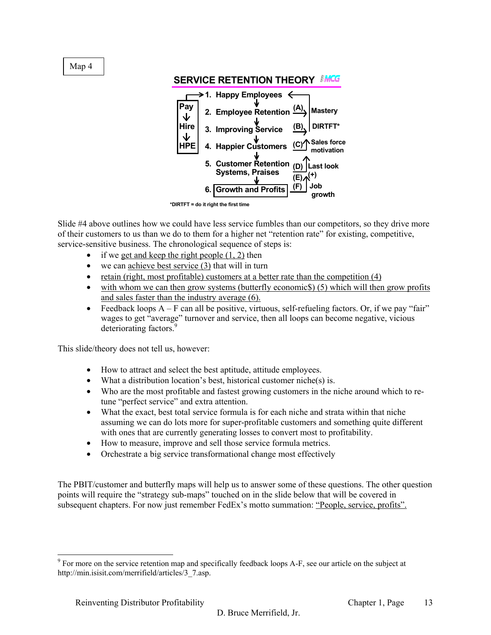Map 4



#### **SERVICE RETENTION THEORY**

Slide #4 above outlines how we could have less service fumbles than our competitors, so they drive more of their customers to us than we do to them for a higher net "retention rate" for existing, competitive, service-sensitive business. The chronological sequence of steps is:

- if we get and keep the right people  $(1, 2)$  then
- we can achieve best service  $(3)$  that will in turn
- retain (right, most profitable) customers at a better rate than the competition (4)
- with whom we can then grow systems (butterfly economics) (5) which will then grow profits and sales faster than the industry average (6).
- Feedback loops  $A F$  can all be positive, virtuous, self-refueling factors. Or, if we pay "fair" wages to get "average" turnover and service, then all loops can become negative, vicious deteriorating factors.<sup>9</sup>

This slide/theory does not tell us, however:

- How to attract and select the best aptitude, attitude employees.
- What a distribution location's best, historical customer niche(s) is.
- Who are the most profitable and fastest growing customers in the niche around which to retune "perfect service" and extra attention.
- What the exact, best total service formula is for each niche and strata within that niche assuming we can do lots more for super-profitable customers and something quite different with ones that are currently generating losses to convert most to profitability.
- How to measure, improve and sell those service formula metrics.
- Orchestrate a big service transformational change most effectively

The PBIT/customer and butterfly maps will help us to answer some of these questions. The other question points will require the "strategy sub-maps" touched on in the slide below that will be covered in subsequent chapters. For now just remember FedEx's motto summation: "People, service, profits".

**<sup>\*</sup>DIRTFT = do it right the first time** 

 $9^9$  For more on the service retention map and specifically feedback loops A-F, see our article on the subject at http://min.isisit.com/merrifield/articles/3\_7.asp.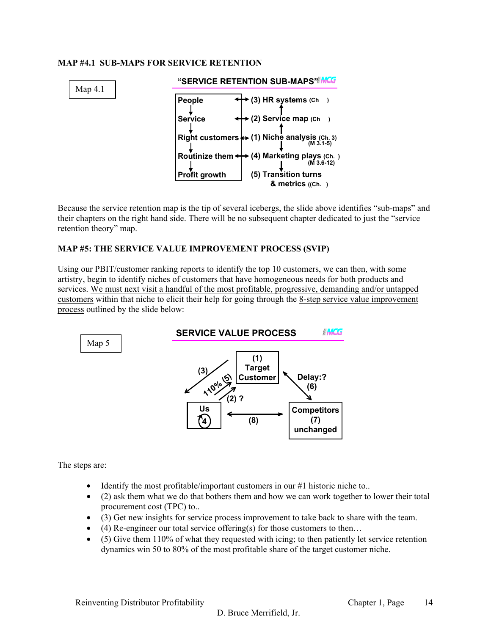#### **MAP #4.1 SUB-MAPS FOR SERVICE RETENTION**



Because the service retention map is the tip of several icebergs, the slide above identifies "sub-maps" and their chapters on the right hand side. There will be no subsequent chapter dedicated to just the "service retention theory" map.

#### **MAP #5: THE SERVICE VALUE IMPROVEMENT PROCESS (SVIP)**

Using our PBIT/customer ranking reports to identify the top 10 customers, we can then, with some artistry, begin to identify niches of customers that have homogeneous needs for both products and services. We must next visit a handful of the most profitable, progressive, demanding and/or untapped customers within that niche to elicit their help for going through the 8-step service value improvement process outlined by the slide below:



The steps are:

- Identify the most profitable/important customers in our #1 historic niche to..
- (2) ask them what we do that bothers them and how we can work together to lower their total procurement cost (TPC) to..
- (3) Get new insights for service process improvement to take back to share with the team.
- (4) Re-engineer our total service offering(s) for those customers to then...
- (5) Give them 110% of what they requested with icing; to then patiently let service retention dynamics win 50 to 80% of the most profitable share of the target customer niche.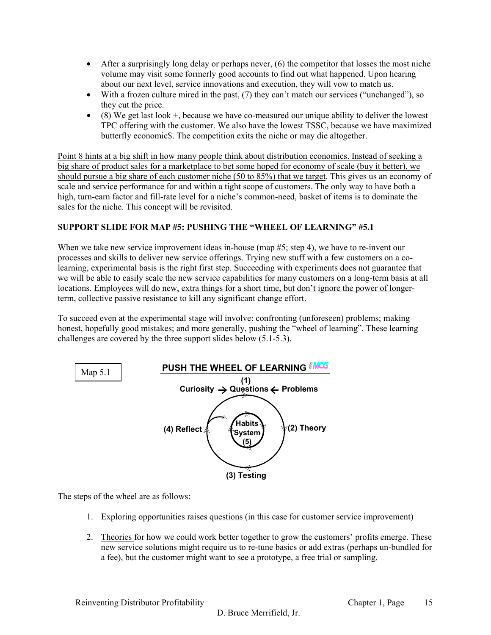- After a surprisingly long delay or perhaps never,  $(6)$  the competitor that losses the most niche volume may visit some formerly good accounts to find out what happened. Upon hearing about our next level, service innovations and execution, they will vow to match us.
- With a frozen culture mired in the past, (7) they can't match our services ("unchanged"), so they cut the price.
- $\bullet$  (8) We get last look  $+$ , because we have co-measured our unique ability to deliver the lowest TPC offering with the customer. We also have the lowest TSSC, because we have maximized butterfly economic\$. The competition exits the niche or may die altogether.

Point 8 hints at a big shift in how many people think about distribution economics. Instead of seeking a big share of product sales for a marketplace to bet some hoped for economy of scale (buy it better), we should pursue a big share of each customer niche (50 to 85%) that we target. This gives us an economy of scale and service performance for and within a tight scope of customers. The only way to have both a high, turn-earn factor and fill-rate level for a niche's common-need, basket of items is to dominate the sales for the niche. This concept will be revisited.

# **SUPPORT SLIDE FOR MAP #5: PUSHING THE "WHEEL OF LEARNING" #5.1**

When we take new service improvement ideas in-house (map #5; step 4), we have to re-invent our processes and skills to deliver new service offerings. Trying new stuff with a few customers on a colearning, experimental basis is the right first step. Succeeding with experiments does not guarantee that we will be able to easily scale the new service capabilities for many customers on a long-term basis at all locations. Employees will do new, extra things for a short time, but don't ignore the power of longerterm, collective passive resistance to kill any significant change effort.

To succeed even at the experimental stage will involve: confronting (unforeseen) problems; making honest, hopefully good mistakes; and more generally, pushing the "wheel of learning". These learning challenges are covered by the three support slides below (5.1-5.3).



The steps of the wheel are as follows:

- 1. Exploring opportunities raises questions (in this case for customer service improvement)
- 2. Theories for how we could work better together to grow the customers' profits emerge. These new service solutions might require us to re-tune basics or add extras (perhaps un-bundled for a fee), but the customer might want to see a prototype, a free trial or sampling.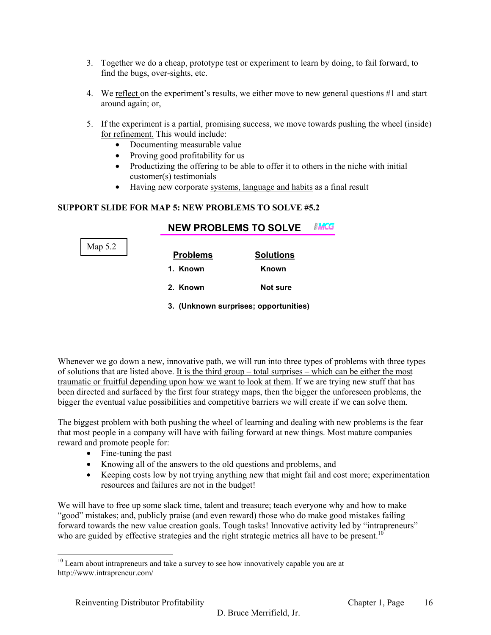- 3. Together we do a cheap, prototype test or experiment to learn by doing, to fail forward, to find the bugs, over-sights, etc.
- 4. We reflect on the experiment's results, we either move to new general questions #1 and start around again; or,
- 5. If the experiment is a partial, promising success, we move towards pushing the wheel (inside) for refinement. This would include:
	- Documenting measurable value
	- Proving good profitability for us
	- Productizing the offering to be able to offer it to others in the niche with initial customer(s) testimonials
	- Having new corporate systems, language and habits as a final result

**NEW PROBLEMS TO SOLVE**

# **SUPPORT SLIDE FOR MAP 5: NEW PROBLEMS TO SOLVE #5.2**

| Map 5.2 | <b>Problems</b> | <b>Solutions</b>                      |
|---------|-----------------|---------------------------------------|
|         |                 |                                       |
|         | 1. Known        | Known                                 |
|         | 2. Known        | Not sure                              |
|         |                 | 3. (Unknown surprises; opportunities) |

Whenever we go down a new, innovative path, we will run into three types of problems with three types of solutions that are listed above. It is the third group – total surprises – which can be either the most traumatic or fruitful depending upon how we want to look at them. If we are trying new stuff that has been directed and surfaced by the first four strategy maps, then the bigger the unforeseen problems, the bigger the eventual value possibilities and competitive barriers we will create if we can solve them.

The biggest problem with both pushing the wheel of learning and dealing with new problems is the fear that most people in a company will have with failing forward at new things. Most mature companies reward and promote people for:

- Fine-tuning the past
- Knowing all of the answers to the old questions and problems, and
- Keeping costs low by not trying anything new that might fail and cost more; experimentation resources and failures are not in the budget!

We will have to free up some slack time, talent and treasure; teach everyone why and how to make "good" mistakes; and, publicly praise (and even reward) those who do make good mistakes failing forward towards the new value creation goals. Tough tasks! Innovative activity led by "intrapreneurs" who are guided by effective strategies and the right strategic metrics all have to be present.<sup>10</sup>

 $10$  Learn about intrapreneurs and take a survey to see how innovatively capable you are at http://www.intrapreneur.com/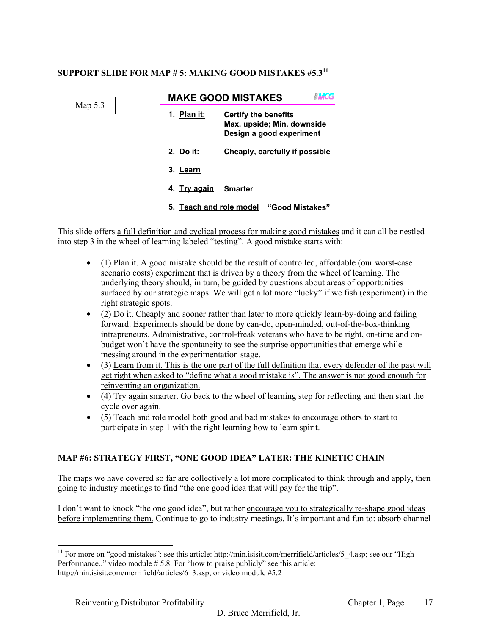# **SUPPORT SLIDE FOR MAP # 5: MAKING GOOD MISTAKES #5.311**

|         | <b>MAKE GOOD MISTAKES</b> |                                                                                       |  |
|---------|---------------------------|---------------------------------------------------------------------------------------|--|
| Map 5.3 | Plan it:<br>1.            | <b>Certify the benefits</b><br>Max. upside; Min. downside<br>Design a good experiment |  |
|         | 2. Do it:                 | Cheaply, carefully if possible                                                        |  |
|         | 3. Learn                  |                                                                                       |  |
|         | 4. Try again              | <b>Smarter</b>                                                                        |  |
|         | 5. Teach and role model   | "Good Mistakes"                                                                       |  |

This slide offers a full definition and cyclical process for making good mistakes and it can all be nestled into step 3 in the wheel of learning labeled "testing". A good mistake starts with:

- (1) Plan it. A good mistake should be the result of controlled, affordable (our worst-case scenario costs) experiment that is driven by a theory from the wheel of learning. The underlying theory should, in turn, be guided by questions about areas of opportunities surfaced by our strategic maps. We will get a lot more "lucky" if we fish (experiment) in the right strategic spots.
- (2) Do it. Cheaply and sooner rather than later to more quickly learn-by-doing and failing forward. Experiments should be done by can-do, open-minded, out-of-the-box-thinking intrapreneurs. Administrative, control-freak veterans who have to be right, on-time and onbudget won't have the spontaneity to see the surprise opportunities that emerge while messing around in the experimentation stage.
- (3) Learn from it. This is the one part of the full definition that every defender of the past will get right when asked to "define what a good mistake is". The answer is not good enough for reinventing an organization.
- (4) Try again smarter. Go back to the wheel of learning step for reflecting and then start the cycle over again.
- (5) Teach and role model both good and bad mistakes to encourage others to start to participate in step 1 with the right learning how to learn spirit.

# **MAP #6: STRATEGY FIRST, "ONE GOOD IDEA" LATER: THE KINETIC CHAIN**

The maps we have covered so far are collectively a lot more complicated to think through and apply, then going to industry meetings to find "the one good idea that will pay for the trip".

I don't want to knock "the one good idea", but rather encourage you to strategically re-shape good ideas before implementing them. Continue to go to industry meetings. It's important and fun to: absorb channel

l <sup>11</sup> For more on "good mistakes": see this article: http://min.isisit.com/merrifield/articles/5\_4.asp; see our "High Performance.." video module #5.8. For "how to praise publicly" see this article: http://min.isisit.com/merrifield/articles/6\_3.asp; or video module #5.2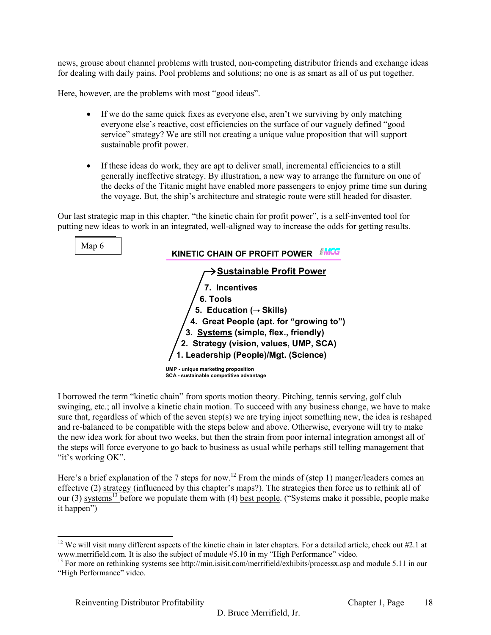news, grouse about channel problems with trusted, non-competing distributor friends and exchange ideas for dealing with daily pains. Pool problems and solutions; no one is as smart as all of us put together.

Here, however, are the problems with most "good ideas".

- If we do the same quick fixes as everyone else, aren't we surviving by only matching everyone else's reactive, cost efficiencies on the surface of our vaguely defined "good service" strategy? We are still not creating a unique value proposition that will support sustainable profit power.
- If these ideas do work, they are apt to deliver small, incremental efficiencies to a still generally ineffective strategy. By illustration, a new way to arrange the furniture on one of the decks of the Titanic might have enabled more passengers to enjoy prime time sun during the voyage. But, the ship's architecture and strategic route were still headed for disaster.

Our last strategic map in this chapter, "the kinetic chain for profit power", is a self-invented tool for putting new ideas to work in an integrated, well-aligned way to increase the odds for getting results.

| Map 6 | KINETIC CHAIN OF PROFIT POWER                                                 |
|-------|-------------------------------------------------------------------------------|
|       | <b>▶ Sustainable Profit Power</b><br>7. Incentives                            |
|       | 6. Tools<br>5. Education ( $\rightarrow$ Skills)                              |
|       | 4. Great People (apt. for "growing to")                                       |
|       | 3. Systems (simple, flex., friendly)                                          |
|       | 2. Strategy (vision, values, UMP, SCA)                                        |
|       | 1. Leadership (People)/Mgt. (Science)                                         |
|       | UMP - unique marketing proposition<br>SCA - sustainable competitive advantage |

I borrowed the term "kinetic chain" from sports motion theory. Pitching, tennis serving, golf club swinging, etc.; all involve a kinetic chain motion. To succeed with any business change, we have to make sure that, regardless of which of the seven step(s) we are trying inject something new, the idea is reshaped and re-balanced to be compatible with the steps below and above. Otherwise, everyone will try to make the new idea work for about two weeks, but then the strain from poor internal integration amongst all of the steps will force everyone to go back to business as usual while perhaps still telling management that "it's working OK".

Here's a brief explanation of the 7 steps for now.<sup>12</sup> From the minds of (step 1) manger/leaders comes an effective (2) strategy (influenced by this chapter's maps?). The strategies then force us to rethink all of our (3) systems<sup>13</sup> before we populate them with (4) <u>best people</u>. ("Systems make it possible, people make it happen")

<sup>&</sup>lt;sup>12</sup> We will visit many different aspects of the kinetic chain in later chapters. For a detailed article, check out  $#2.1$  at www.merrifield.com. It is also the subject of module #5.10 in my "High Performance" video.<br><sup>13</sup> For more on rethinking systems see http://min.isisit.com/merrifield/exhibits/processx.asp and module 5.11 in our

<sup>&</sup>quot;High Performance" video.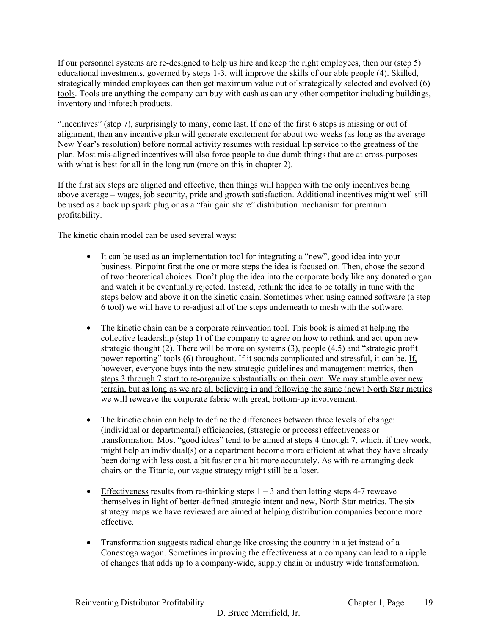If our personnel systems are re-designed to help us hire and keep the right employees, then our (step 5) educational investments, governed by steps 1-3, will improve the skills of our able people (4). Skilled, strategically minded employees can then get maximum value out of strategically selected and evolved (6) tools. Tools are anything the company can buy with cash as can any other competitor including buildings, inventory and infotech products.

"Incentives" (step 7), surprisingly to many, come last. If one of the first 6 steps is missing or out of alignment, then any incentive plan will generate excitement for about two weeks (as long as the average New Year's resolution) before normal activity resumes with residual lip service to the greatness of the plan. Most mis-aligned incentives will also force people to due dumb things that are at cross-purposes with what is best for all in the long run (more on this in chapter 2).

If the first six steps are aligned and effective, then things will happen with the only incentives being above average – wages, job security, pride and growth satisfaction. Additional incentives might well still be used as a back up spark plug or as a "fair gain share" distribution mechanism for premium profitability.

The kinetic chain model can be used several ways:

- It can be used as an implementation tool for integrating a "new", good idea into your business. Pinpoint first the one or more steps the idea is focused on. Then, chose the second of two theoretical choices. Don't plug the idea into the corporate body like any donated organ and watch it be eventually rejected. Instead, rethink the idea to be totally in tune with the steps below and above it on the kinetic chain. Sometimes when using canned software (a step 6 tool) we will have to re-adjust all of the steps underneath to mesh with the software.
- The kinetic chain can be a corporate reinvention tool. This book is aimed at helping the collective leadership (step 1) of the company to agree on how to rethink and act upon new strategic thought (2). There will be more on systems (3), people (4,5) and "strategic profit power reporting" tools (6) throughout. If it sounds complicated and stressful, it can be. If, however, everyone buys into the new strategic guidelines and management metrics, then steps 3 through 7 start to re-organize substantially on their own. We may stumble over new terrain, but as long as we are all believing in and following the same (new) North Star metrics we will reweave the corporate fabric with great, bottom-up involvement.
- The kinetic chain can help to define the differences between three levels of change: (individual or departmental) efficiencies, (strategic or process) effectiveness or transformation. Most "good ideas" tend to be aimed at steps 4 through 7, which, if they work, might help an individual(s) or a department become more efficient at what they have already been doing with less cost, a bit faster or a bit more accurately. As with re-arranging deck chairs on the Titanic, our vague strategy might still be a loser.
- Effectiveness results from re-thinking steps  $1 3$  and then letting steps 4-7 reweave themselves in light of better-defined strategic intent and new, North Star metrics. The six strategy maps we have reviewed are aimed at helping distribution companies become more effective.
- Transformation suggests radical change like crossing the country in a jet instead of a Conestoga wagon. Sometimes improving the effectiveness at a company can lead to a ripple of changes that adds up to a company-wide, supply chain or industry wide transformation.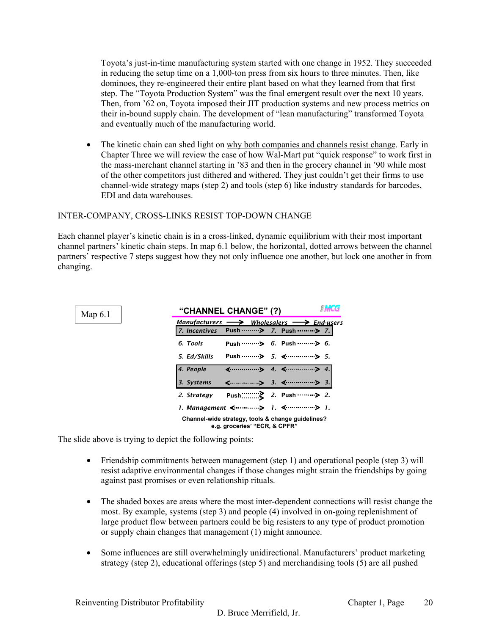Toyota's just-in-time manufacturing system started with one change in 1952. They succeeded in reducing the setup time on a 1,000-ton press from six hours to three minutes. Then, like dominoes, they re-engineered their entire plant based on what they learned from that first step. The "Toyota Production System" was the final emergent result over the next 10 years. Then, from '62 on, Toyota imposed their JIT production systems and new process metrics on their in-bound supply chain. The development of "lean manufacturing" transformed Toyota and eventually much of the manufacturing world.

• The kinetic chain can shed light on why both companies and channels resist change. Early in Chapter Three we will review the case of how Wal-Mart put "quick response" to work first in the mass-merchant channel starting in '83 and then in the grocery channel in '90 while most of the other competitors just dithered and withered. They just couldn't get their firms to use channel-wide strategy maps (step 2) and tools (step 6) like industry standards for barcodes, EDI and data warehouses.

## INTER-COMPANY, CROSS-LINKS RESIST TOP-DOWN CHANGE

Each channel player's kinetic chain is in a cross-linked, dynamic equilibrium with their most important channel partners' kinetic chain steps. In map 6.1 below, the horizontal, dotted arrows between the channel partners' respective 7 steps suggest how they not only influence one another, but lock one another in from changing.



The slide above is trying to depict the following points:

- Friendship commitments between management (step 1) and operational people (step 3) will resist adaptive environmental changes if those changes might strain the friendships by going against past promises or even relationship rituals.
- The shaded boxes are areas where the most inter-dependent connections will resist change the most. By example, systems (step 3) and people (4) involved in on-going replenishment of large product flow between partners could be big resisters to any type of product promotion or supply chain changes that management (1) might announce.
- Some influences are still overwhelmingly unidirectional. Manufacturers' product marketing strategy (step 2), educational offerings (step 5) and merchandising tools (5) are all pushed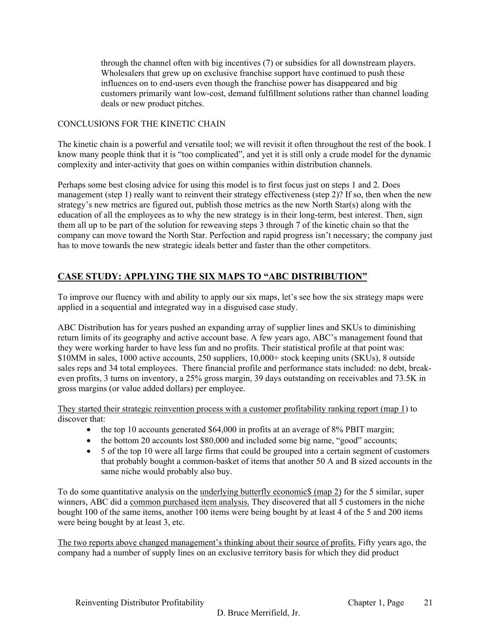through the channel often with big incentives (7) or subsidies for all downstream players. Wholesalers that grew up on exclusive franchise support have continued to push these influences on to end-users even though the franchise power has disappeared and big customers primarily want low-cost, demand fulfillment solutions rather than channel loading deals or new product pitches.

# CONCLUSIONS FOR THE KINETIC CHAIN

The kinetic chain is a powerful and versatile tool; we will revisit it often throughout the rest of the book. I know many people think that it is "too complicated", and yet it is still only a crude model for the dynamic complexity and inter-activity that goes on within companies within distribution channels.

Perhaps some best closing advice for using this model is to first focus just on steps 1 and 2. Does management (step 1) really want to reinvent their strategy effectiveness (step 2)? If so, then when the new strategy's new metrics are figured out, publish those metrics as the new North Star(s) along with the education of all the employees as to why the new strategy is in their long-term, best interest. Then, sign them all up to be part of the solution for reweaving steps 3 through 7 of the kinetic chain so that the company can move toward the North Star. Perfection and rapid progress isn't necessary; the company just has to move towards the new strategic ideals better and faster than the other competitors.

# **CASE STUDY: APPLYING THE SIX MAPS TO "ABC DISTRIBUTION"**

To improve our fluency with and ability to apply our six maps, let's see how the six strategy maps were applied in a sequential and integrated way in a disguised case study.

ABC Distribution has for years pushed an expanding array of supplier lines and SKUs to diminishing return limits of its geography and active account base. A few years ago, ABC's management found that they were working harder to have less fun and no profits. Their statistical profile at that point was: \$10MM in sales, 1000 active accounts, 250 suppliers, 10,000+ stock keeping units (SKUs), 8 outside sales reps and 34 total employees. There financial profile and performance stats included: no debt, breakeven profits, 3 turns on inventory, a 25% gross margin, 39 days outstanding on receivables and 73.5K in gross margins (or value added dollars) per employee.

They started their strategic reinvention process with a customer profitability ranking report (map 1) to discover that:

- the top 10 accounts generated \$64,000 in profits at an average of 8% PBIT margin;
- the bottom 20 accounts lost \$80,000 and included some big name, "good" accounts;
- 5 of the top 10 were all large firms that could be grouped into a certain segment of customers that probably bought a common-basket of items that another 50 A and B sized accounts in the same niche would probably also buy.

To do some quantitative analysis on the underlying butterfly economic\$ (map 2) for the 5 similar, super winners, ABC did a common purchased item analysis. They discovered that all 5 customers in the niche bought 100 of the same items, another 100 items were being bought by at least 4 of the 5 and 200 items were being bought by at least 3, etc.

The two reports above changed management's thinking about their source of profits. Fifty years ago, the company had a number of supply lines on an exclusive territory basis for which they did product

Reinventing Distributor Profitability **Solution Chapter 1, Page**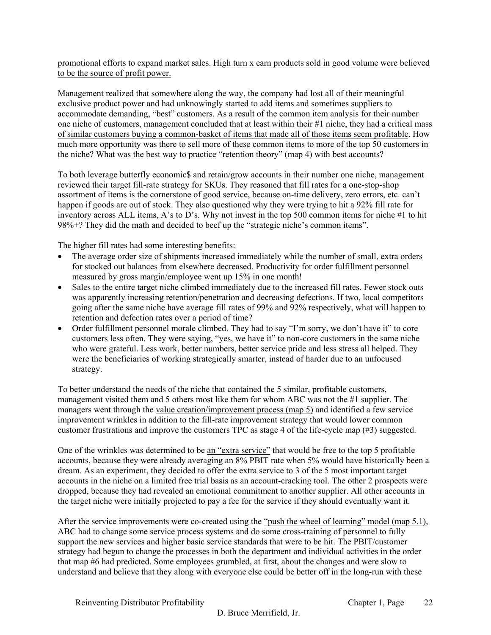promotional efforts to expand market sales. High turn x earn products sold in good volume were believed to be the source of profit power.

Management realized that somewhere along the way, the company had lost all of their meaningful exclusive product power and had unknowingly started to add items and sometimes suppliers to accommodate demanding, "best" customers. As a result of the common item analysis for their number one niche of customers, management concluded that at least within their #1 niche, they had a critical mass of similar customers buying a common-basket of items that made all of those items seem profitable. How much more opportunity was there to sell more of these common items to more of the top 50 customers in the niche? What was the best way to practice "retention theory" (map 4) with best accounts?

To both leverage butterfly economic\$ and retain/grow accounts in their number one niche, management reviewed their target fill-rate strategy for SKUs. They reasoned that fill rates for a one-stop-shop assortment of items is the cornerstone of good service, because on-time delivery, zero errors, etc. can't happen if goods are out of stock. They also questioned why they were trying to hit a 92% fill rate for inventory across ALL items, A's to D's. Why not invest in the top 500 common items for niche #1 to hit 98%+? They did the math and decided to beef up the "strategic niche's common items".

The higher fill rates had some interesting benefits:

- The average order size of shipments increased immediately while the number of small, extra orders for stocked out balances from elsewhere decreased. Productivity for order fulfillment personnel measured by gross margin/employee went up 15% in one month!
- Sales to the entire target niche climbed immediately due to the increased fill rates. Fewer stock outs was apparently increasing retention/penetration and decreasing defections. If two, local competitors going after the same niche have average fill rates of 99% and 92% respectively, what will happen to retention and defection rates over a period of time?
- Order fulfillment personnel morale climbed. They had to say "I'm sorry, we don't have it" to core customers less often. They were saying, "yes, we have it" to non-core customers in the same niche who were grateful. Less work, better numbers, better service pride and less stress all helped. They were the beneficiaries of working strategically smarter, instead of harder due to an unfocused strategy.

To better understand the needs of the niche that contained the 5 similar, profitable customers, management visited them and 5 others most like them for whom ABC was not the #1 supplier. The managers went through the value creation/improvement process (map 5) and identified a few service improvement wrinkles in addition to the fill-rate improvement strategy that would lower common customer frustrations and improve the customers TPC as stage 4 of the life-cycle map  $(\#3)$  suggested.

One of the wrinkles was determined to be an "extra service" that would be free to the top 5 profitable accounts, because they were already averaging an 8% PBIT rate when 5% would have historically been a dream. As an experiment, they decided to offer the extra service to 3 of the 5 most important target accounts in the niche on a limited free trial basis as an account-cracking tool. The other 2 prospects were dropped, because they had revealed an emotional commitment to another supplier. All other accounts in the target niche were initially projected to pay a fee for the service if they should eventually want it.

After the service improvements were co-created using the "push the wheel of learning" model (map 5.1), ABC had to change some service process systems and do some cross-training of personnel to fully support the new services and higher basic service standards that were to be hit. The PBIT/customer strategy had begun to change the processes in both the department and individual activities in the order that map #6 had predicted. Some employees grumbled, at first, about the changes and were slow to understand and believe that they along with everyone else could be better off in the long-run with these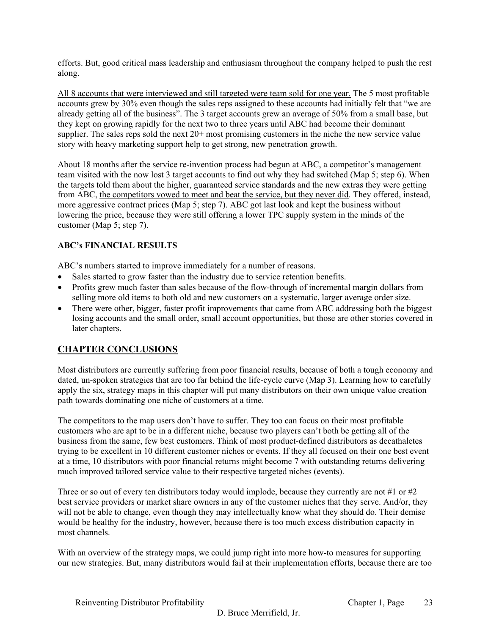efforts. But, good critical mass leadership and enthusiasm throughout the company helped to push the rest along.

All 8 accounts that were interviewed and still targeted were team sold for one year. The 5 most profitable accounts grew by 30% even though the sales reps assigned to these accounts had initially felt that "we are already getting all of the business". The 3 target accounts grew an average of 50% from a small base, but they kept on growing rapidly for the next two to three years until ABC had become their dominant supplier. The sales reps sold the next  $20+$  most promising customers in the niche the new service value story with heavy marketing support help to get strong, new penetration growth.

About 18 months after the service re-invention process had begun at ABC, a competitor's management team visited with the now lost 3 target accounts to find out why they had switched (Map 5; step 6). When the targets told them about the higher, guaranteed service standards and the new extras they were getting from ABC, the competitors vowed to meet and beat the service, but they never did. They offered, instead, more aggressive contract prices (Map 5; step 7). ABC got last look and kept the business without lowering the price, because they were still offering a lower TPC supply system in the minds of the customer (Map 5; step 7).

# **ABC's FINANCIAL RESULTS**

ABC's numbers started to improve immediately for a number of reasons.

- Sales started to grow faster than the industry due to service retention benefits.
- Profits grew much faster than sales because of the flow-through of incremental margin dollars from selling more old items to both old and new customers on a systematic, larger average order size.
- There were other, bigger, faster profit improvements that came from ABC addressing both the biggest losing accounts and the small order, small account opportunities, but those are other stories covered in later chapters.

# **CHAPTER CONCLUSIONS**

Most distributors are currently suffering from poor financial results, because of both a tough economy and dated, un-spoken strategies that are too far behind the life-cycle curve (Map 3). Learning how to carefully apply the six, strategy maps in this chapter will put many distributors on their own unique value creation path towards dominating one niche of customers at a time.

The competitors to the map users don't have to suffer. They too can focus on their most profitable customers who are apt to be in a different niche, because two players can't both be getting all of the business from the same, few best customers. Think of most product-defined distributors as decathaletes trying to be excellent in 10 different customer niches or events. If they all focused on their one best event at a time, 10 distributors with poor financial returns might become 7 with outstanding returns delivering much improved tailored service value to their respective targeted niches (events).

Three or so out of every ten distributors today would implode, because they currently are not #1 or #2 best service providers or market share owners in any of the customer niches that they serve. And/or, they will not be able to change, even though they may intellectually know what they should do. Their demise would be healthy for the industry, however, because there is too much excess distribution capacity in most channels.

With an overview of the strategy maps, we could jump right into more how-to measures for supporting our new strategies. But, many distributors would fail at their implementation efforts, because there are too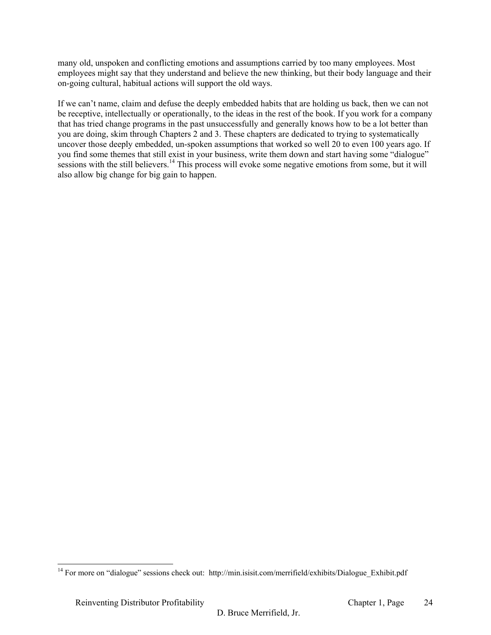many old, unspoken and conflicting emotions and assumptions carried by too many employees. Most employees might say that they understand and believe the new thinking, but their body language and their on-going cultural, habitual actions will support the old ways.

If we can't name, claim and defuse the deeply embedded habits that are holding us back, then we can not be receptive, intellectually or operationally, to the ideas in the rest of the book. If you work for a company that has tried change programs in the past unsuccessfully and generally knows how to be a lot better than you are doing, skim through Chapters 2 and 3. These chapters are dedicated to trying to systematically uncover those deeply embedded, un-spoken assumptions that worked so well 20 to even 100 years ago. If you find some themes that still exist in your business, write them down and start having some "dialogue" sessions with the still believers.<sup>14</sup> This process will evoke some negative emotions from some, but it will also allow big change for big gain to happen.

<sup>&</sup>lt;sup>14</sup> For more on "dialogue" sessions check out: http://min.isisit.com/merrifield/exhibits/Dialogue\_Exhibit.pdf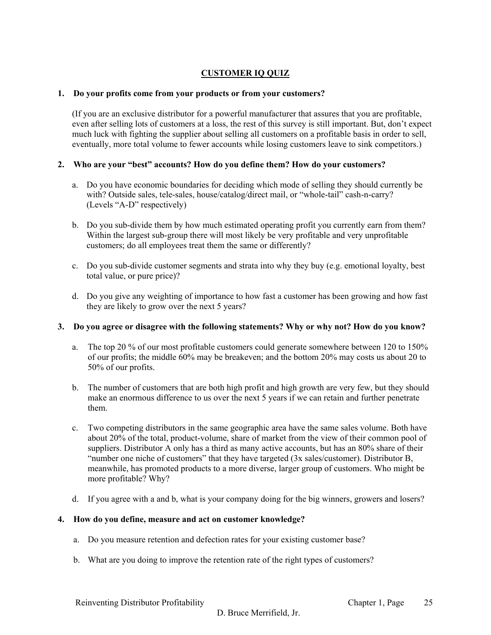# **CUSTOMER IQ QUIZ**

## **1. Do your profits come from your products or from your customers?**

(If you are an exclusive distributor for a powerful manufacturer that assures that you are profitable, even after selling lots of customers at a loss, the rest of this survey is still important. But, don't expect much luck with fighting the supplier about selling all customers on a profitable basis in order to sell, eventually, more total volume to fewer accounts while losing customers leave to sink competitors.)

## **2. Who are your "best" accounts? How do you define them? How do your customers?**

- a. Do you have economic boundaries for deciding which mode of selling they should currently be with? Outside sales, tele-sales, house/catalog/direct mail, or "whole-tail" cash-n-carry? (Levels "A-D" respectively)
- b. Do you sub-divide them by how much estimated operating profit you currently earn from them? Within the largest sub-group there will most likely be very profitable and very unprofitable customers; do all employees treat them the same or differently?
- c. Do you sub-divide customer segments and strata into why they buy (e.g. emotional loyalty, best total value, or pure price)?
- d. Do you give any weighting of importance to how fast a customer has been growing and how fast they are likely to grow over the next 5 years?

# **3. Do you agree or disagree with the following statements? Why or why not? How do you know?**

- a. The top 20 % of our most profitable customers could generate somewhere between 120 to 150% of our profits; the middle 60% may be breakeven; and the bottom 20% may costs us about 20 to 50% of our profits.
- b. The number of customers that are both high profit and high growth are very few, but they should make an enormous difference to us over the next 5 years if we can retain and further penetrate them.
- c. Two competing distributors in the same geographic area have the same sales volume. Both have about 20% of the total, product-volume, share of market from the view of their common pool of suppliers. Distributor A only has a third as many active accounts, but has an 80% share of their "number one niche of customers" that they have targeted (3x sales/customer). Distributor B, meanwhile, has promoted products to a more diverse, larger group of customers. Who might be more profitable? Why?
- d. If you agree with a and b, what is your company doing for the big winners, growers and losers?

#### **4. How do you define, measure and act on customer knowledge?**

- a. Do you measure retention and defection rates for your existing customer base?
- b. What are you doing to improve the retention rate of the right types of customers?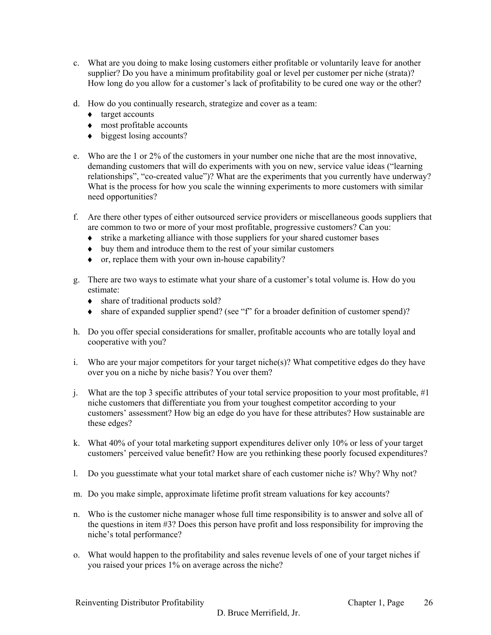- c. What are you doing to make losing customers either profitable or voluntarily leave for another supplier? Do you have a minimum profitability goal or level per customer per niche (strata)? How long do you allow for a customer's lack of profitability to be cured one way or the other?
- d. How do you continually research, strategize and cover as a team:
	- ♦ target accounts
	- ♦ most profitable accounts
	- ♦ biggest losing accounts?
- e. Who are the 1 or 2% of the customers in your number one niche that are the most innovative, demanding customers that will do experiments with you on new, service value ideas ("learning relationships", "co-created value")? What are the experiments that you currently have underway? What is the process for how you scale the winning experiments to more customers with similar need opportunities?
- f. Are there other types of either outsourced service providers or miscellaneous goods suppliers that are common to two or more of your most profitable, progressive customers? Can you:
	- ♦ strike a marketing alliance with those suppliers for your shared customer bases
	- ♦ buy them and introduce them to the rest of your similar customers
	- ♦ or, replace them with your own in-house capability?
- g. There are two ways to estimate what your share of a customer's total volume is. How do you estimate:
	- share of traditional products sold?
	- ♦ share of expanded supplier spend? (see "f" for a broader definition of customer spend)?
- h. Do you offer special considerations for smaller, profitable accounts who are totally loyal and cooperative with you?
- i. Who are your major competitors for your target niche(s)? What competitive edges do they have over you on a niche by niche basis? You over them?
- j. What are the top 3 specific attributes of your total service proposition to your most profitable, #1 niche customers that differentiate you from your toughest competitor according to your customers' assessment? How big an edge do you have for these attributes? How sustainable are these edges?
- k. What 40% of your total marketing support expenditures deliver only 10% or less of your target customers' perceived value benefit? How are you rethinking these poorly focused expenditures?
- l. Do you guesstimate what your total market share of each customer niche is? Why? Why not?
- m. Do you make simple, approximate lifetime profit stream valuations for key accounts?
- n. Who is the customer niche manager whose full time responsibility is to answer and solve all of the questions in item #3? Does this person have profit and loss responsibility for improving the niche's total performance?
- o. What would happen to the profitability and sales revenue levels of one of your target niches if you raised your prices 1% on average across the niche?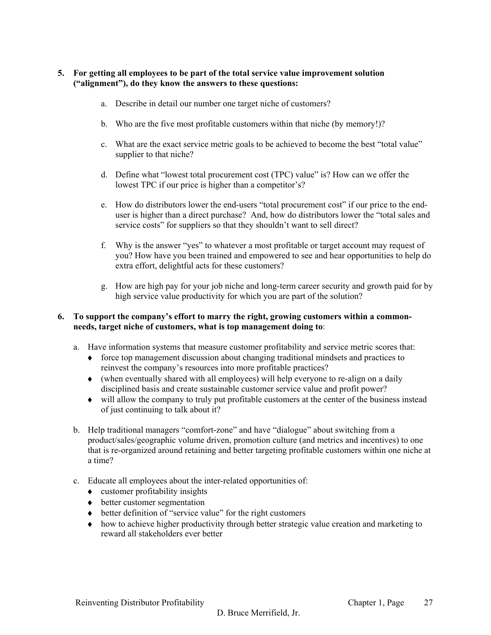## **5. For getting all employees to be part of the total service value improvement solution ("alignment"), do they know the answers to these questions:**

- a. Describe in detail our number one target niche of customers?
- b. Who are the five most profitable customers within that niche (by memory!)?
- c. What are the exact service metric goals to be achieved to become the best "total value" supplier to that niche?
- d. Define what "lowest total procurement cost (TPC) value" is? How can we offer the lowest TPC if our price is higher than a competitor's?
- e. How do distributors lower the end-users "total procurement cost" if our price to the enduser is higher than a direct purchase? And, how do distributors lower the "total sales and service costs" for suppliers so that they shouldn't want to sell direct?
- f. Why is the answer "yes" to whatever a most profitable or target account may request of you? How have you been trained and empowered to see and hear opportunities to help do extra effort, delightful acts for these customers?
- g. How are high pay for your job niche and long-term career security and growth paid for by high service value productivity for which you are part of the solution?

#### **6. To support the company's effort to marry the right, growing customers within a commonneeds, target niche of customers, what is top management doing to**:

- a. Have information systems that measure customer profitability and service metric scores that:
	- ♦ force top management discussion about changing traditional mindsets and practices to reinvest the company's resources into more profitable practices?
	- $\bullet$  (when eventually shared with all employees) will help everyone to re-align on a daily disciplined basis and create sustainable customer service value and profit power?
	- ♦ will allow the company to truly put profitable customers at the center of the business instead of just continuing to talk about it?
- b. Help traditional managers "comfort-zone" and have "dialogue" about switching from a product/sales/geographic volume driven, promotion culture (and metrics and incentives) to one that is re-organized around retaining and better targeting profitable customers within one niche at a time?
- c. Educate all employees about the inter-related opportunities of:
	- $\bullet$  customer profitability insights
	- ♦ better customer segmentation
	- ♦ better definition of "service value" for the right customers
	- ♦ how to achieve higher productivity through better strategic value creation and marketing to reward all stakeholders ever better